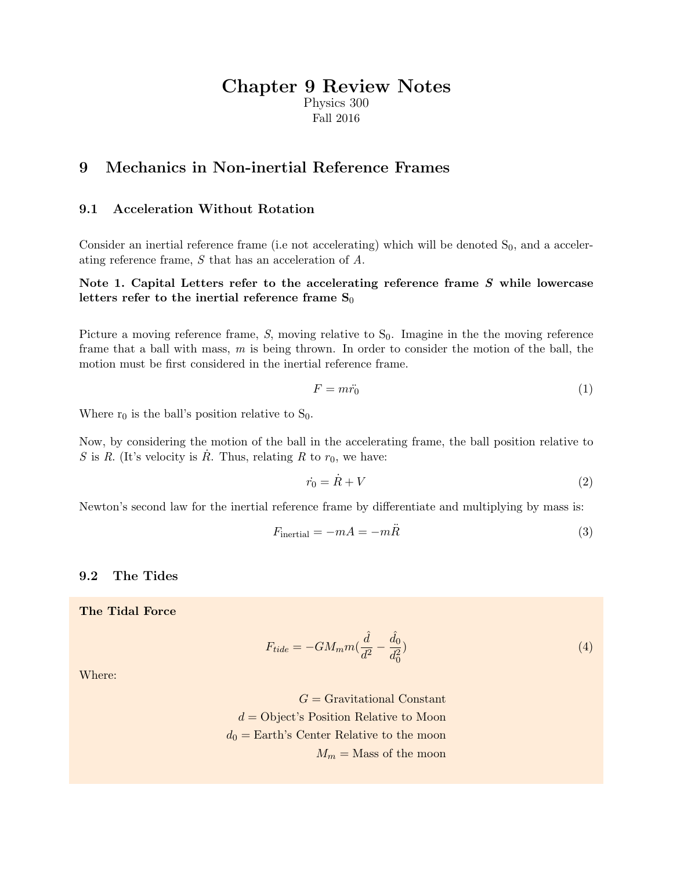# Chapter 9 Review Notes

Physics 300 Fall 2016

### 9 Mechanics in Non-inertial Reference Frames

#### 9.1 Acceleration Without Rotation

Consider an inertial reference frame (i.e not accelerating) which will be denoted  $S_0$ , and a accelerating reference frame, S that has an acceleration of A.

#### Note 1. Capital Letters refer to the accelerating reference frame S while lowercase letters refer to the inertial reference frame  $S_0$

Picture a moving reference frame,  $S$ , moving relative to  $S_0$ . Imagine in the the moving reference frame that a ball with mass,  $m$  is being thrown. In order to consider the motion of the ball, the motion must be first considered in the inertial reference frame.

$$
F = m\ddot{r}_0 \tag{1}
$$

Where  $r_0$  is the ball's position relative to  $S_0$ .

Now, by considering the motion of the ball in the accelerating frame, the ball position relative to S is R. (It's velocity is  $\dot{R}$ . Thus, relating R to  $r_0$ , we have:

$$
\dot{r}_0 = \dot{R} + V \tag{2}
$$

Newton's second law for the inertial reference frame by differentiate and multiplying by mass is:

$$
F_{\text{inertial}} = -mA = -m\ddot{R} \tag{3}
$$

#### 9.2 The Tides

The Tidal Force

$$
F_{tide} = -GM_m m \left(\frac{\hat{d}}{d^2} - \frac{\hat{d}_0}{d_0^2}\right) \tag{4}
$$

Where:

 $G =$  Gravitational Constant  $d =$ Object's Position Relative to Moon  $d_0 =$  Earth's Center Relative to the moon  $M_m =$ Mass of the moon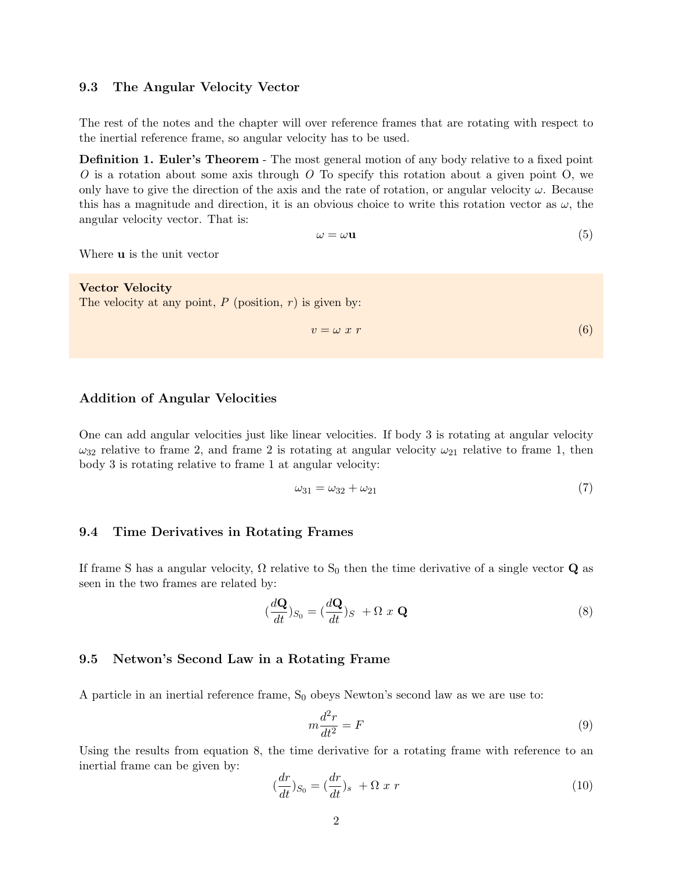#### 9.3 The Angular Velocity Vector

The rest of the notes and the chapter will over reference frames that are rotating with respect to the inertial reference frame, so angular velocity has to be used.

Definition 1. Euler's Theorem - The most general motion of any body relative to a fixed point  $O$  is a rotation about some axis through  $O$  To specify this rotation about a given point  $O$ , we only have to give the direction of the axis and the rate of rotation, or angular velocity  $\omega$ . Because this has a magnitude and direction, it is an obvious choice to write this rotation vector as  $\omega$ , the angular velocity vector. That is:

$$
\omega = \omega \mathbf{u} \tag{5}
$$

Where u is the unit vector

Vector Velocity The velocity at any point,  $P$  (position,  $r$ ) is given by:

$$
v = \omega \; x \; r \tag{6}
$$

#### Addition of Angular Velocities

One can add angular velocities just like linear velocities. If body 3 is rotating at angular velocity  $\omega_{32}$  relative to frame 2, and frame 2 is rotating at angular velocity  $\omega_{21}$  relative to frame 1, then body 3 is rotating relative to frame 1 at angular velocity:

$$
\omega_{31} = \omega_{32} + \omega_{21} \tag{7}
$$

#### 9.4 Time Derivatives in Rotating Frames

If frame S has a angular velocity,  $\Omega$  relative to S<sub>0</sub> then the time derivative of a single vector **Q** as seen in the two frames are related by:

$$
(\frac{d\mathbf{Q}}{dt})_{S_0} = (\frac{d\mathbf{Q}}{dt})_S + \Omega x \mathbf{Q}
$$
\n(8)

#### 9.5 Netwon's Second Law in a Rotating Frame

A particle in an inertial reference frame,  $S_0$  obeys Newton's second law as we are use to:

$$
m\frac{d^2r}{dt^2} = F\tag{9}
$$

Using the results from equation 8, the time derivative for a rotating frame with reference to an inertial frame can be given by:

$$
(\frac{dr}{dt})_{S_0} = (\frac{dr}{dt})_s + \Omega x r \tag{10}
$$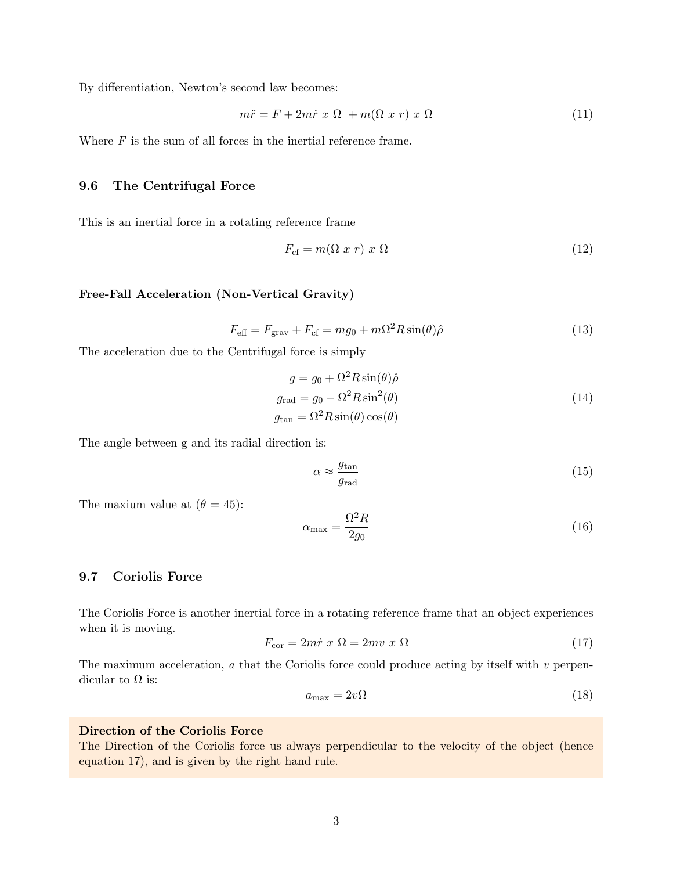By differentiation, Newton's second law becomes:

$$
m\ddot{r} = F + 2m\dot{r} \times \Omega + m(\Omega \times r) \times \Omega \tag{11}
$$

Where  $F$  is the sum of all forces in the inertial reference frame.

#### 9.6 The Centrifugal Force

This is an inertial force in a rotating reference frame

$$
F_{\rm cf} = m(\Omega \ x \ r) \ x \ \Omega \tag{12}
$$

#### Free-Fall Acceleration (Non-Vertical Gravity)

$$
F_{\text{eff}} = F_{\text{grav}} + F_{\text{cf}} = mg_0 + m\Omega^2 R \sin(\theta) \hat{\rho}
$$
\n(13)

The acceleration due to the Centrifugal force is simply

$$
g = g_0 + \Omega^2 R \sin(\theta) \hat{\rho}
$$
  
\n
$$
g_{\text{rad}} = g_0 - \Omega^2 R \sin^2(\theta)
$$
  
\n
$$
g_{\text{tan}} = \Omega^2 R \sin(\theta) \cos(\theta)
$$
\n(14)

The angle between g and its radial direction is:

$$
\alpha \approx \frac{g_{\text{tan}}}{g_{\text{rad}}}
$$
\n
$$
\tag{15}
$$

The maxium value at  $(\theta = 45)$ :

$$
\alpha_{\text{max}} = \frac{\Omega^2 R}{2g_0} \tag{16}
$$

#### 9.7 Coriolis Force

The Coriolis Force is another inertial force in a rotating reference frame that an object experiences when it is moving.

$$
F_{\text{cor}} = 2m\dot{r} \times \Omega = 2mv \times \Omega \tag{17}
$$

The maximum acceleration,  $a$  that the Coriolis force could produce acting by itself with  $v$  perpendicular to  $\Omega$  is:

$$
a_{\text{max}} = 2v\Omega \tag{18}
$$

#### Direction of the Coriolis Force

The Direction of the Coriolis force us always perpendicular to the velocity of the object (hence equation 17), and is given by the right hand rule.